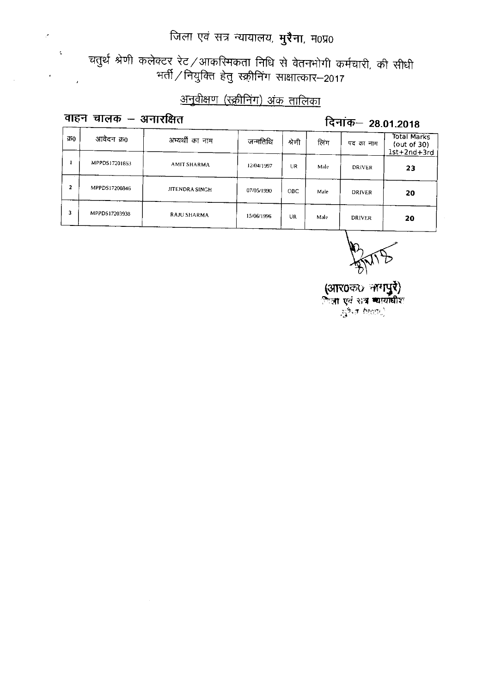# चतुर्थ श्रेणी कलेक्टर रेट ⁄ आकरिमकता निधि से वेतनभोगी कर्मचारी, की सीधी<br>सर्ती ⁄ नियुक्ति हेतु स्क्रीनिंग साक्षात्कार—2017,

### अनुवीक्षण (स्क्रीनिंग) अंक तालिका

#### वाहन चालक - अनारक्षित

 $\mathcal{S}$ 

 $\bar{\mathbf{z}}$ 

#### दिनांक- 28.01.2018

| 750            | आवेदन क्र0    | अभ्यर्थी का नाम | जन्मतिथि   | श्रेणी     | लिंग | पद का नाम     | Total Marks<br>(out of $30$ )<br>$1st+2nd+3rd$ |
|----------------|---------------|-----------------|------------|------------|------|---------------|------------------------------------------------|
|                | MPPDS17201853 | AMIT SHARMA     | 12/04/1997 | UR         | Male | <b>DRIVER</b> | 23                                             |
| $\overline{2}$ | MPPDS17200846 | JITENDRA SINGH  | 07/05/1990 | <b>OBC</b> | Male | <b>DRIVER</b> | 20                                             |
| 3              | MPPDS17203938 | RAJU SHARMA     | 15/06/1996 | UR         | Male | <b>DRIVER</b> | 20                                             |

(आर0क0 नागपुरे)<br>िता एवं शत्र व्यायाधीश<br>- हुरैन (1992)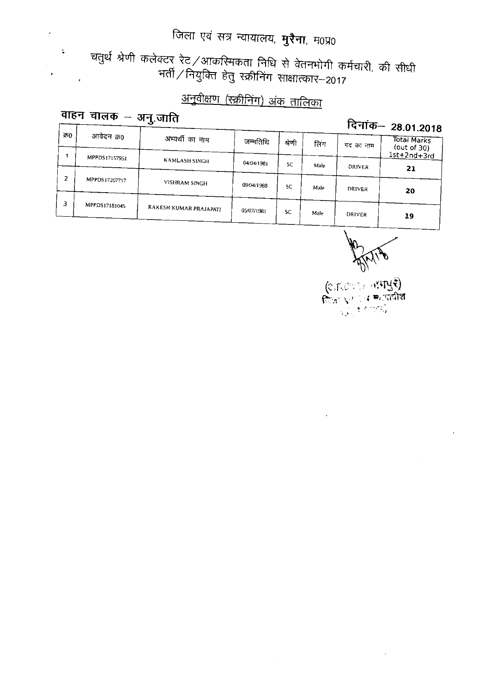चतुर्थ श्रेणी कलेक्टर रेट ⁄ आकरिमकता निधि से वेतनभोगी कर्मचारी, की सीधी<br>प्तीं ⁄ नियुक्ति हेतु स्क्रीनिंग साक्षात्कार–2017.

### <u>अनुवीक्षण (स्क्रीनिंग) अंक तालिका</u>

#### वाहन चालक – अनु.जाति  $\sqrt{1 + \frac{1}{2}}$

 $\hat{\mathcal{L}}$ 

 $\bullet$ 

 $\ddot{\bullet}$ 

दिनांक- 28.01.2018

|     |               |                        |            |           |      |               | - - - - - - -                 |  |
|-----|---------------|------------------------|------------|-----------|------|---------------|-------------------------------|--|
| 970 | आवेदन क्र0    | अभ्यर्थी का नाम        | जन्मतिथि   | श्रेणी    | लिग  | पद का नाम     | Total Marks<br>(out of $30$ ) |  |
|     | MPPDS17157951 |                        |            |           |      |               | $1$ st+2nd+3rd                |  |
|     |               | KAMLASH SINGH          | 04/04/1981 | <b>SC</b> | Male | <b>DRIVER</b> |                               |  |
|     |               |                        |            |           |      |               | 21                            |  |
|     | MPPDS17207717 | VISHRAM SINGH          |            |           |      |               |                               |  |
|     |               |                        | 09/04/1988 | <b>SC</b> | Male | <b>DRIVER</b> | 20                            |  |
|     |               |                        |            |           |      |               |                               |  |
| з   | MPPDS17181045 |                        |            |           |      |               |                               |  |
|     |               | RAKESH KUMAR PRAJAPATI | 05/07/1981 | <b>SC</b> | Male | <b>DRIVER</b> |                               |  |
|     |               |                        |            |           |      |               | 19                            |  |

(জাতেখন নামাধুই)<br>ফিদ্রায়ন চৰক্ষানীয়  $\frac{1}{\log\lambda}\sum_{i=1}^n\mathbf{E}_{i}^{(i)}\mathbf{V}_{i}^{(i)}\mathbf{V}_{i}^{(i)}$ 

 $\bar{\rm{a}}$ 

 $\ddot{\phantom{1}}$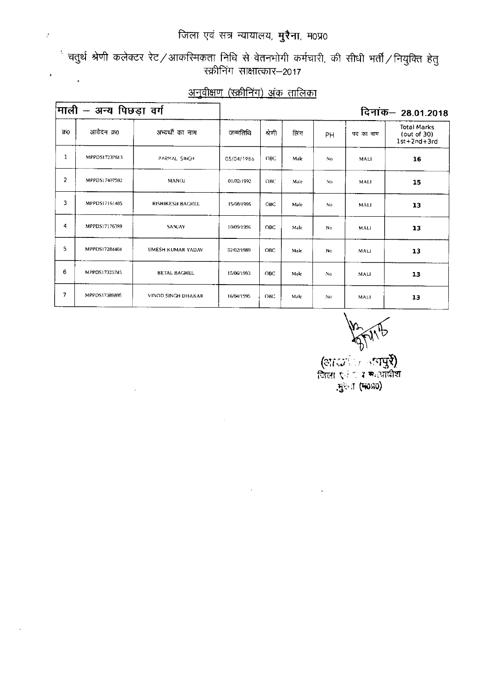$\ddot{\cdot}$ 

 $\bar{\beta}$ 

ं चतुर्थ श्रेणी कलेक्टर रेट ⁄ आकरिमकता निधि से वेतनभोगी कर्मचारी, की सीधी भर्ती ⁄ नियुक्ति हेतु<br>स्क्रीनिंग साक्षात्कार—2017  $\mathcal{L}(\mathcal{L})$ 

#### अनुवीक्षण (रक्रीनिंग) अंक तालिका

|                | माली – अन्य पिछड़ा वर्ग |                           | जन्मतिथि<br>श्रेणी<br>लिंग<br>पद का नाम<br>PH<br><b>OBC</b><br>Male<br>05/04/1986<br>No.<br>MALI<br>01/02/1992<br>OBC<br>Male<br>No.<br><b>MALI</b><br>15/08/1996<br><b>OBC</b><br>Male<br><b>No</b><br>MALI<br>10/09/1996<br>OBC<br>Male<br>No<br>MALI<br>02/02/1989<br><b>OBC</b><br>Male<br>No<br>MALI |      |      |                |      | दिनांक– 28.01.2018                                     |  |  |
|----------------|-------------------------|---------------------------|-----------------------------------------------------------------------------------------------------------------------------------------------------------------------------------------------------------------------------------------------------------------------------------------------------------|------|------|----------------|------|--------------------------------------------------------|--|--|
| ক্র0           | आवेदन क्र0              | अभ्यर्थी का नाम           |                                                                                                                                                                                                                                                                                                           |      |      |                |      | <b>Total Marks</b><br>(out of 30)<br>$1st + 2nd + 3rd$ |  |  |
| 1              | MPPDS17237613           | PARMAL SINGH              |                                                                                                                                                                                                                                                                                                           |      |      |                |      | 16                                                     |  |  |
| $\overline{2}$ | MPPDS17407592           | MANOJ                     |                                                                                                                                                                                                                                                                                                           |      |      |                |      | 15                                                     |  |  |
| 3              | MPPDS17161485           | <b>RISHIKESH BAGHEL</b>   |                                                                                                                                                                                                                                                                                                           |      |      |                |      | 13                                                     |  |  |
| 4              | MPPDS17176399           | SANJAY                    |                                                                                                                                                                                                                                                                                                           |      |      |                |      | 13                                                     |  |  |
| 5              | MPPDS17284404           | UMESH KUMAR YADAV         |                                                                                                                                                                                                                                                                                                           |      |      |                |      | 13                                                     |  |  |
| 6              | MPPDS17325745           | <b>BETAL BAGHEL</b>       | 15/06/1993                                                                                                                                                                                                                                                                                                | OBC. | Male | N <sub>0</sub> | MALI | 13                                                     |  |  |
| 7              | MPPDS17389895           | <b>VINOD SINGH DHAKAR</b> | 16/04/1995                                                                                                                                                                                                                                                                                                | OBC  | Male | No.            | MALI | 13                                                     |  |  |

 $\epsilon$ 

(आदर्शकाल सम्पुर्श)<br>जिला एउटा स्थायांक्षेत्र .मुख्या (मठप्र0)

 $\Delta \phi$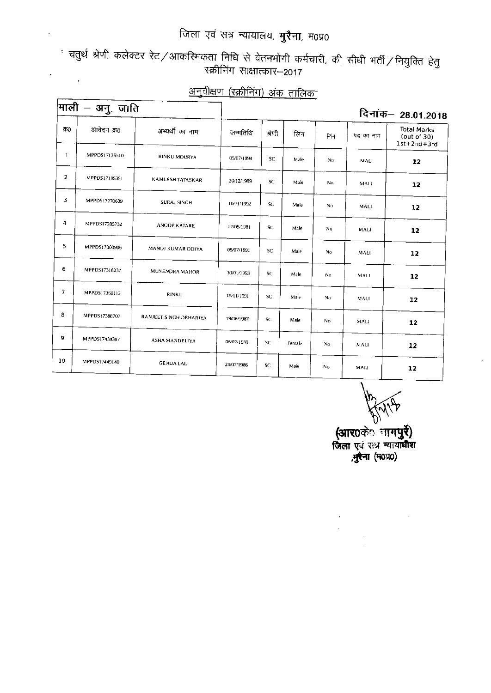$\cdot$ 

ं चतुर्थ श्रेणी कलेक्टर रेट ⁄ आकरिमकता निधि से वेतनभोगी कर्मचारी, की सीधी भर्ती ⁄ नियुक्ति हेतु<br>स्क्रीनिंग साक्षात्कार—2017  $\mathcal{L}^{\text{max}}$  ,  $\mathcal{L}^{\text{max}}$ 

|                | $ $ माली – अनु. जाति |                         |            |           |        |                |             | दिनांक– 28.01.2018                                 |
|----------------|----------------------|-------------------------|------------|-----------|--------|----------------|-------------|----------------------------------------------------|
| 350            | आवेदन क्र0           | अभ्यर्थी का नाम         | जन्मतिथि   | शेणी      | तिंग   | PH             | पद का नाम   | <b>Total Marks</b><br>(out of 30)<br>$1st+2nd+3rd$ |
| J.             | MPPDS17125510        | RINKU MOURYA            | 05/07/1994 | <b>SC</b> | Male   | No             | MALI        | 12                                                 |
| $\overline{2}$ | MPPDS17185351        | <b>KAMLESH TATASKAR</b> | 20/12/1989 | SC.       | Male   | No.            | MALL.       | 12                                                 |
| 3              | MPPDS17270639        | <b>SURAJ SINGH</b>      | 10/11/1992 | SC.       | Male   | N <sub>0</sub> | MALI        | 12                                                 |
| 4              | MPPDS17285732        | <b>ANOOP KATARE</b>     | 17/05/1981 | SC.       | Male   | No             | MALI        | 12                                                 |
| 5              | MPPDS17300906        | MANOJ KUMAR ODIYA       | 05/07/1991 | SC.       | Male   | No             | MALI        | 12                                                 |
| 6              | MPPDS17318237        | MUNENDRA MAHOR          | 30/01/1993 | SC.       | Male   | No             | MALI        | 12                                                 |
| $\overline{7}$ | MPPD517360112        | <b>RINKU</b>            | 15/11/1991 | SC.       | Male   | Nυ             | <b>MALI</b> | 12                                                 |
| 8              | MPPDS17388707        | RANJEET SINGH DEHARIYA  | 19/06/1987 | SC.       | Male   | No.            | MALI        | 12                                                 |
| 9              | MPPDS17434387        | ASHA MANDELIYA          | 06/07/1989 | SC.       | Female | No.            | MALI        | 12                                                 |
| 10             | MPPDS17449140        | <b>GENDA LAL</b>        | 24/07/1986 | SC.       | Male   | No             | MALI        | 12                                                 |

### अनुवीक्षण (स्क्रीनिंग) अंक तालिका

(आर0केंे नागपुरें)<br>जिला एवं रात्र न्यायाधीश<br>,मुरैना (म0प्र0)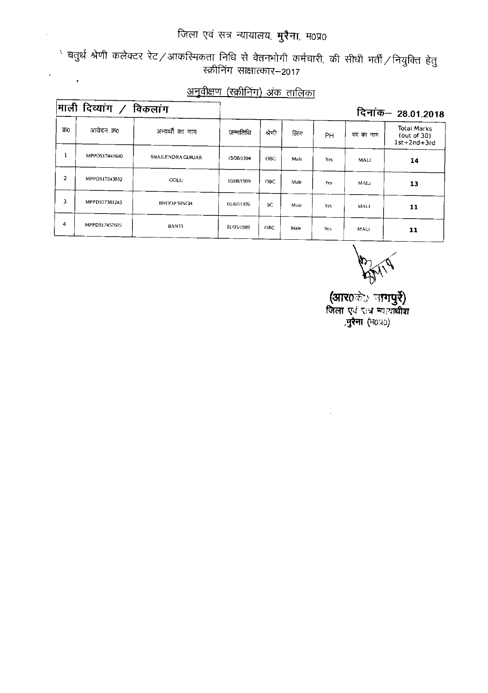ं चतुर्थ श्रेणी कलेक्टर रेट ⁄ आकरिमकता निधि से वेतनभोगी कर्मचारी, की सीधी भर्ती ⁄ नियुक्ति हेतु<br>स्क्रीनिंग साक्षात्कार–2017  $\mathcal{L}^{\text{max}}_{\text{max}}$ 

 $\cdot$ 

 $\sim$ 

#### अनुवीक्षण (स्क्रीनिंग) अंक तालिका

|      | माली दिव्यांग $\angle$ | विकलांग            |            |            |      |           |             | दिनांक— 28.01.2018                                 |
|------|------------------------|--------------------|------------|------------|------|-----------|-------------|----------------------------------------------------|
| क्र0 | आवेदन क0               | अभ्यर्थी का नाम    | जन्मतिथि   | श्रेणी     | लिंग | <b>PH</b> | पद का नाम   | <b>Total Marks</b><br>(out of 30)<br>$1st+2nd+3rd$ |
| T    | MPPDS17441640          | SHAILENDRA GURJAR  | 15/08/1994 | <b>OBC</b> | Male | Yes       | MALI        | 14                                                 |
| 2    | MPPDS17243832          | COLU               | 10/08/1999 | ОВС        | Male | Yes       | MALI        | 13                                                 |
| 3    | MPPDS17381243          | <b>BHOOP SINGH</b> | 01/07/1976 | SC.        | Male | Yes.      | <b>MALI</b> | 11                                                 |
| 4    | MPPDS17457605          | <b>BANTI</b>       | 01/05/1989 | OBC.       | Male | Yes       | <b>MALI</b> | 11                                                 |

**(आर**0के:) ज**गपुरे)**<br>जिला एवं रात्र न्यायाधीश<br>,मुरैना (म0प्र0)

 $\bar{z}$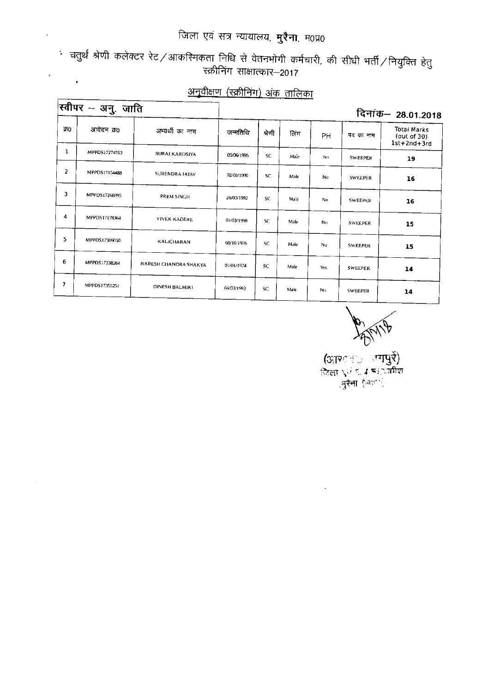∙ चतुर्थ श्रेणी कलेक्टर रेट ∕ आकरिमकता निधि से वेतनभोगी कर्मचारी, की सीधी भर्ती ∕ नियुक्ति हेतु<br>स्क्रीनिंग साक्षात्कार—2017  $\sim 10^{11}$ 

|     | स्वीपर – अनु. जाति |                       |            |           |      |     |                | दिनांक– 28.01.2018                             |
|-----|--------------------|-----------------------|------------|-----------|------|-----|----------------|------------------------------------------------|
| 950 | आवेदन क0           | अभ्यर्थी का नाम       | जन्मतिथि   | श्रेणी    | लिंग | PH  | पद का नाम      | Total Marks<br>(out of $30$ )<br>$1st+2nd+3rd$ |
| ı   | MPPDS17274763      | <b>SURAJ KAROSIYA</b> | 09/06/1995 | <b>SC</b> | Male | No  | <b>SWEEPER</b> | 19                                             |
| 2   | MPPDS17154488      | <b>SURENDRA JATAV</b> | 02/08/1990 | SC.       | Male | No. | <b>SWEEPER</b> | 16                                             |
| 3   | MPPDS17268995      | PREM SINGH            | 26/03/1992 | SC.       | Male | No. | <b>SWEEPER</b> | 16                                             |
| 4   | MPPDS17178364      | <b>VIVEK KADERE</b>   | 01/03/1998 | SC.       | Male | No. | SWEEPER        | 15                                             |
| 5   | MPPDS17309050      | <b>KALICHARAN</b>     | 08/10/1976 | SC.       | Male | No  | <b>SWEEPER</b> | 15                                             |
| 6   | MPPDS17338264      | NARESH CHANDRA SHAKYA | 01/01/1974 | SC.       | Male | Yes | <b>SWEEPER</b> | 14                                             |
| 7   | MPPDS17355251      | DINESH BALMIKI        | 04/03/1993 | SC.       | Male | No  | <b>SWEEPER</b> | 14                                             |

#### अनुवीक्षण (रक्रीनिंग) अंक तालिका

 $\Gamma$ 

 $\bar{z}$ 

(आश्ार उपापुर्दे)<br>जिला एउटा महानवीश ्नुरेना (आधारी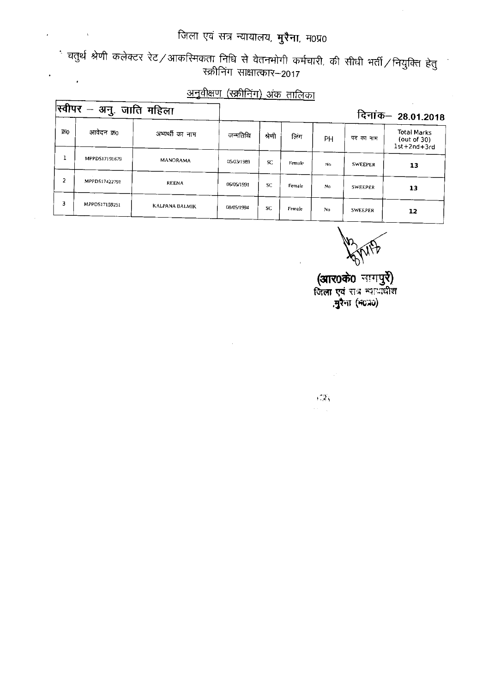$\frac{1}{\sqrt{2}}$  . The  $\frac{1}{\sqrt{2}}$ 

 $\mathsf{r}$ ┳

 $\bar{z}$ 

ं चतुर्थ श्रेणी कलेक्टर रेट ⁄ आकरिमकता निधि से वेतनभोगी कर्मचारी, की सीधी भर्ती ⁄ नियुक्ति हेतु<br>स्क्रीनिंग साक्षात्कार–2017  $\mathcal{L}^{\text{max}}_{\text{max}}$ 

### <u>अनुवीक्षण (स्क्रीनिंग) अंक तालिका</u>

|     | स्वीपर —<br>अनु. जाति महिला |                       |            |        |        |     |                | दिनांक– 28.01.2018                                     |
|-----|-----------------------------|-----------------------|------------|--------|--------|-----|----------------|--------------------------------------------------------|
| 350 | आवेदन क्र0                  | अभ्यर्थी का नाम       | जन्मतिथि   | श्रेणी | लिंग   | PН  | पद का नाम      | <b>Total Marks</b><br>(out of 30)<br>$1st + 2nd + 3rd$ |
|     | MPPDS17191679               | <b>MANORAMA</b>       | 05/03/1989 | SC.    | Female | No. | <b>SWEEPER</b> | 13                                                     |
| 2   | MPPDS17422791               | <b>REENA</b>          | 06/05/1991 | SC.    | Female | No. | <b>SWEEPER</b> | 13                                                     |
| 3   | MPPDS17159251               | <b>KALPANA BALMIK</b> | 08/05/1994 | SC.    | Female | No  | <b>SWEEPER</b> | 12                                                     |

 $\sim$ 

 $\bar{\beta}$ 

**(आर0के0** नाग**पुरे)**<br>जिला एवं सत्र न्यायधिश ,मुरैना (न6न0)

 $\sqrt{2}d\sqrt{2}$ 

 $\sigma(\tau) = \frac{1}{2\pi}$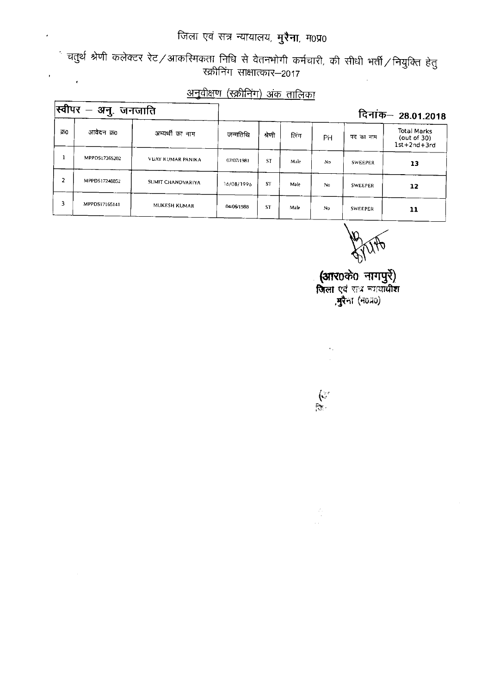ं चतुर्थ श्रेणी कलेक्टर रेट ⁄ आकस्मिकता निधि से वेतनभोगी कर्मचारी, की सीधी भर्ती ⁄ नियुक्ति हेतु<br>स्क्रीनिंग साक्षात्कार—2017  $\epsilon$ 

### <u>अनुवीक्षण (स्क्रीनिंग) अंक तालिका</u>

|     | स्वीपर — अनु. जनजाति |                   |            |           |      |    |                | दिनांक– 28.01.2018                              |
|-----|----------------------|-------------------|------------|-----------|------|----|----------------|-------------------------------------------------|
| 750 | आवेदन क्र0           | अभ्यर्थी का नाम   | जन्मतिथि   | श्रेणी    | लिंग | PН | पद का नाम      | Total Marks<br>(out of 30)<br>$1st + 2nd + 3rd$ |
|     | MPPDS17365202        | VUAY KUMAR PANIKA | 07/07/1981 | <b>ST</b> | Male | No | SWEEPER        | 13                                              |
| 2   | MPPDS17248852        | SUMIT CHANDVARIYA | 16/08/1996 | <b>ST</b> | Male | No | <b>SWEEPER</b> | 12                                              |
|     | MPPDS17165141        | MUKESH KUMAR      | 04/06/1988 | <b>ST</b> | Male | No | <b>SWEEPER</b> | 11                                              |

. **(आर**0के0 नागपुरें)<br>जिला एवं सत्र न्ययाधीश ,**मुरै**ना (न0प्र0)

 $\epsilon_{\rm A}$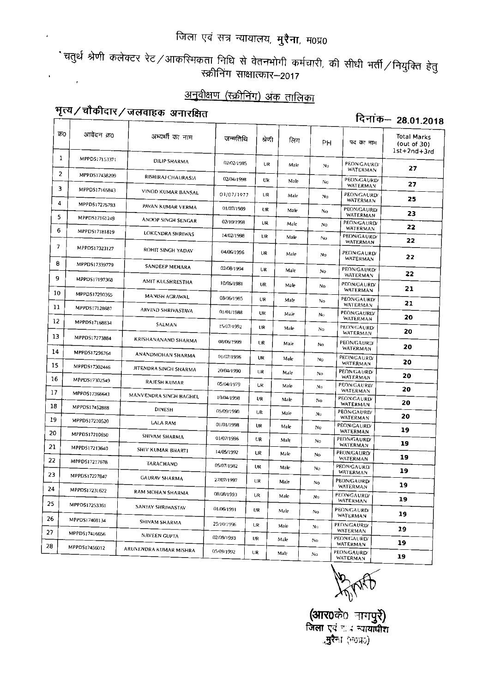ेचतुर्थ श्रेणी कलेक्टर रेट ⁄ आकस्मिकता निधि से वेतनभोगी कर्मचारी, की सीधी भर्ती ⁄ नियुक्ति हेतु<br>स्क्रीनिंग साक्षात्कार–2017  $\frac{1}{2} \left( \frac{1}{2} \right)$ 

#### अनुवीक्षण (रक्रीनिंग) अंक तालिका

## भृत्य/चौकीदार/जलवाहक अनारक्षित

#### दिनांक- 28.01.2018

| 350 | आवेदन क्र0    | अभ्यर्थी का नाम        | जन्मतिथि   | श्रेणी    | लिंग | PH             | पद का नाम                             | Total Marks<br>(out of 30)<br>1st+2nd+3rd |
|-----|---------------|------------------------|------------|-----------|------|----------------|---------------------------------------|-------------------------------------------|
| 1   | MPPDS17153371 | <b>DILIP SHARMA</b>    | 02/02/1985 | UR.       | Male | Nο             | PEON/GAURD/<br>WATERMAN               | 27                                        |
| 2   | MPPDS17438209 | RISHIRAJ CHAURASIA     | 02/04/1998 | UR        | Male | No             | PEON/GAURD/                           | 27                                        |
| 3   | MPPDS17165843 | VINOD KUMAR BANSAL     | 01/07/1977 | UR        | Male | No.            | WATERMAN<br>PEON/GAURD/<br>WATERMAN   | 25                                        |
| 4   | MPPDS17275793 | PAVAN KUMAR VERMA      | 01/07/1989 | UR        | Male | No             | <b>PEON/GAURD/</b>                    | 23                                        |
| 5.  | MPPDS17161249 | ANOOP SINGH SENGAR     | 02/10/1998 | UR        | Male | No             | WATERMAN<br>PEON/GAURD/               |                                           |
| 6   | MPPDS17181819 | LOKENDRA SHRIWAS       | 14/02/1998 | UR        | Male | No             | WATERMAN<br><b>PEON/GAURD/</b>        | 22                                        |
| 7   | MPPDS17323127 | ROHIT SINGH YADAV      | 04/06/1996 | <b>UR</b> | Male | No             | WATERMAN<br>PEON/GAURD/               | 22<br>22                                  |
| 8   | MPPDS17339779 | SANDEEP MEHARA         | 02/08/1994 | UR        | Male | No             | WATERMAN<br>PEON/GAURD/               |                                           |
| 9   | MPPDS17197368 | AMIT KULSHRESTHA       | 10/05/1981 | UR        | Male | No             | WATERMAN<br>PEON/GAURD/               | 22                                        |
| 10  | MPPDS17290365 | MANISH AGRAWAL         | 08/06/1985 | UR        | Male |                | WATERMAN<br>PEON/GAURD/               | 21                                        |
| 11  | MPPDS17128687 | ARVIND SHRIVASTAVA     | 01/01/1988 | UR        | Male | No<br>No       | <b>WATERMAN</b><br>PEON/GAURD/        | 21                                        |
| 12  | MPPDS17168834 | SALMAN                 | 15/07/1992 | UR        |      |                | WATERMAN<br>PEON/GAURD/               | 20                                        |
| 13  | MPPDS17273884 | KRISHANANAND SHARMA    |            |           | Male | No             | WATERMAN                              | 20                                        |
| 14  | MPPDS17296764 |                        | 08/06/1999 | UR.       | Male | No             | PEON/GAURD/<br>WATERMAN               | 20                                        |
| 15  | MPPDS17302446 | ANANDMOHAN SHARMA      | 01/07/1996 | UR        | Male | No             | PEON/GAURD/<br>WATERMAN               | 20                                        |
| 16  |               | JITENDRA SINGH SHARMA  | 20/04/1990 | <b>UR</b> | Male | No             | PEON/GAURD/<br>WATERMAN               | 20                                        |
| 17  | MPPDS17302549 | <b>RAJESH KUMAR</b>    | 05/04/1979 | UR        | Male | N <sub>O</sub> | PEON/GAURD/<br>WATERMAN               | 20                                        |
|     | MPPDS17366643 | MANVENDRA SINGH BAGHEL | 10/04/1998 | UR        | Male | No             | PEON/GAURD/<br>WATERMAN               | 20                                        |
| 18  | MPPDS17452888 | <b>DINESH</b>          | 05/09/1990 | UR        | Male | No             | <b>PEON/GAURD/</b><br>WATERMAN        | 20                                        |
| 19  | MPPDS17210520 | LALA RAM               | 01/01/1998 | UR        | Male | No             | PEON/GAURD/                           | 19                                        |
| 20  | MPPDS17210650 | SHIVAM SHARMA          | 01/07/1996 | UR        | Male | No             | WATERMAN<br>PEON/GAURD/               | 19                                        |
| 21  | MPPDS17213640 | SHIV KUMAR BHARTI      | 14/05/1992 | UR        | Male | No             | WATERMAN<br>PEON/GAURD/               | 19                                        |
| 22  | MPPDS17217678 | TARACHAND              | 05/07/1982 | UR        | Male | No             | WATERMAN<br>PEON/GAURD/               |                                           |
| 23  | MPPDS17227847 | <b>GAURAV SHARMA</b>   | 27/07/1997 | <b>UR</b> | Male | No             | WATERMAN<br><b>PEON/GAURD/</b>        | 19                                        |
| 24  | MPPDS17231622 | RAM MOHAN SHARMA       | 08/08/1993 | UR        | Male | No             | WATERMAN<br>PEON/GAURD/               | 19                                        |
| 25  | MPPDS17253361 | SANJAY SHRIWASTAV      | 01/06/1991 | UR        | Male |                | WATERMAN<br><b>PEON/GAURD/</b>        | 19                                        |
| 26  | MPPDS17408134 | SHIVAM SHARMA          | 25/10/1996 | UR        |      | No             | <b>WATERMAN</b><br><b>PEON/GAURD/</b> | 19                                        |
| 27  | MPPD517416656 | <b>NAVEEN GUPTA</b>    | 02/09/1993 |           | Male | No             | WATERMAN                              | 19                                        |
| 28  | MPPDS17456012 | ARUNENDRA KUMAR MISHRA | 05/09/1992 | UR        | Male | No             | <b>PEON/GAURD/</b><br><b>WATERMAN</b> | 19                                        |
|     |               |                        |            | UR        | Male | No             | <b>PEON/GAURD/</b><br><b>WATERMAN</b> | 19                                        |

**(आर0**के0 नागपुरे)<br>जिला एवं चार न्यायाधीश **्मुरैना** (मठप्रo)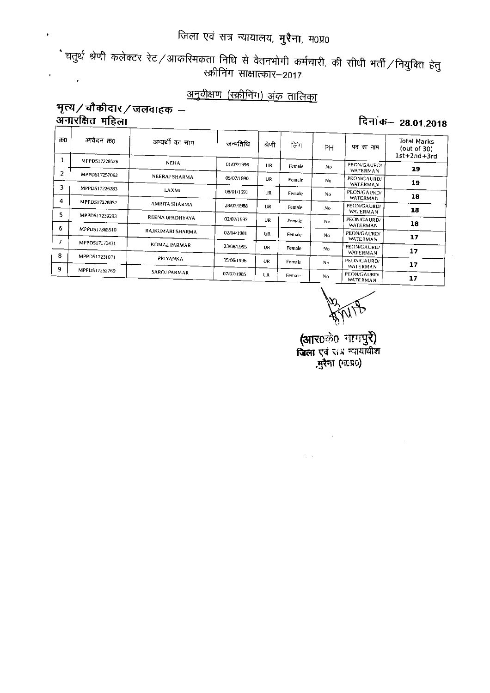ें चतुर्थ श्रेणी कलेक्टर रेट ⁄ आकस्मिकता निधि से वेतनभोगी कर्मचारी, की सीधी भर्ती ⁄ नियुक्ति हेतु रक्रीनिंग साक्षात्कार–2017  $\frac{1}{2}$  ,  $\frac{1}{2}$ 

### अनुवीक्षण (स्क्रीनिंग) अंक तालिका

#### भृत्य / चौकीदार / जलवाहक – अनारक्षित महिला

 $\epsilon$ 

दिनांक- 28.01.2018

| क0 | आवेदन क्र0    | अभ्यर्थी का नाम  | जन्मतिथि   | श्रेणो    | लिंग   | PH             | पद का नाम                      | <b>Total Marks</b><br>(out of $30$ )<br>$1st+2nd+3rd$ |
|----|---------------|------------------|------------|-----------|--------|----------------|--------------------------------|-------------------------------------------------------|
|    | MPPDS17228526 | <b>NEHA</b>      | 01/07/1996 | <b>UR</b> | Female | No.            | PEON/GAURD/                    | 19                                                    |
| 2  | MPPDS17257062 | NEERAJ SHARMA    | 05/07/1990 | UR        | Female | No             | WATERMAN<br>PEON/GAURD/        |                                                       |
| 3  | MPPDS17226283 |                  |            |           |        |                | WATERMAN                       | 19                                                    |
|    |               | LAXMI            | 08/01/1991 | <b>UR</b> | Female | No             | PEON/GAURD/<br><b>WATERMAN</b> | 18                                                    |
| 4  | MPPDS17228852 | AMRITA SHARMA    | 28/07/1988 | UR        | Female | No.            | PEON/GAURD/                    |                                                       |
| 5  | MPPDS17239293 |                  |            |           |        |                | WATERMAN                       | 18                                                    |
| 6  |               | REENA UPADHYAYA  | 02/07/1997 | <b>UR</b> | Female | No             | PEON/GAURD/<br>WATERMAN        | 18                                                    |
|    | MPPDS17365510 | RAJKUMARI SHARMA | 02/04/1981 | UR        | Female | No             | PEON/GAURD/                    |                                                       |
| 7  | MPPDS17173431 |                  |            |           |        |                | WATERMAN                       | 17                                                    |
|    |               | KOMAL PARMAR     | 23/08/1995 | <b>UR</b> | Female | N <sub>0</sub> | PEON/GAURD/<br>WATERMAN        | 17                                                    |
| 8  | MPPDS17231071 | PRIYANKA         | 05/06/1996 |           |        |                | PEON/GAURD/                    |                                                       |
| 9  | MPPDS17252769 |                  |            | UR        | Female | No             | <b>WATERMAN</b>                | 17                                                    |
|    |               | SAROJ PARMAR     | 07/07/1985 | UR        | Female | No.            | PEON/GAURD/<br>WATERMAN        | 17                                                    |

 $\label{eq:2.1} \frac{1}{\sqrt{2}}\int_{\mathbb{R}^3}\frac{1}{\sqrt{2}}\left(\frac{1}{\sqrt{2}}\right)^2\frac{1}{\sqrt{2}}\left(\frac{1}{\sqrt{2}}\right)^2\frac{1}{\sqrt{2}}\left(\frac{1}{\sqrt{2}}\right)^2\frac{1}{\sqrt{2}}\left(\frac{1}{\sqrt{2}}\right)^2.$ 

 $\Delta_{\rm eff}$  and  $\Delta_{\rm eff}$ 

(आर0के0 नागपुरे) दिला एवं सत्र न्यायाधीश मुरेना (मटप्र0)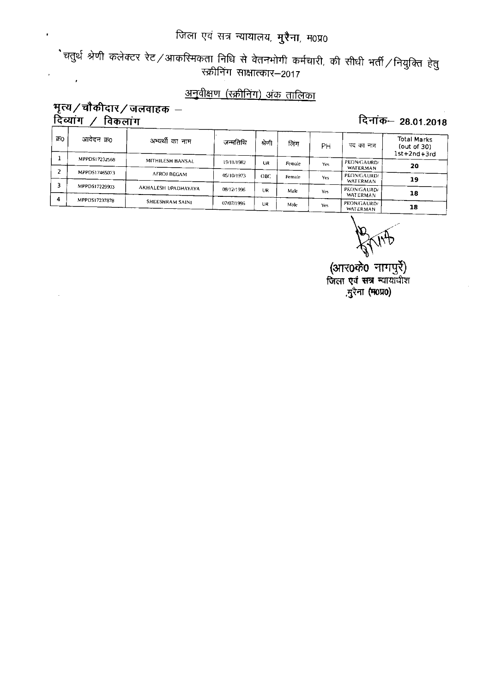ेचतुर्थ श्रेणी कलेक्टर रेट ⁄ आकरिमकता निधि से वेतनभोगी कर्मचारी, की सीधी भर्ती ⁄ नियुक्ति हेतु<br>स्क्रीनिंग साक्षात्कार—2017  $\mathcal{L}^{\text{max}}_{\text{max}}$ 

### <u>अनुवीक्षण (स्क्रीनिंग) अंक तालिका</u>

#### भृत्य/चौकीदार/जलवाहक – <u>दिव्यांग / विकलांग</u>

 $\overline{\phantom{a}}$ 

#### दिनांक- 28.01.2018

| आवेदन क्र0 | अभ्यर्थी का नाम                                                  | जन्मतिथि                                              | श्रेणी     | लिग    | PН   | पद का नाम   | Total Marks<br>(out of $30$ )<br>$1st+2nd+3rd$              |
|------------|------------------------------------------------------------------|-------------------------------------------------------|------------|--------|------|-------------|-------------------------------------------------------------|
|            | MITHILESH BANSAL                                                 | 19/11/1982                                            | UR         | Female | Yes  | PEON/GAURD/ | 20                                                          |
|            |                                                                  |                                                       |            |        |      |             |                                                             |
|            |                                                                  | 05/10/1973                                            | OBC.       | Female | Yes  | PEON/CAURD/ | 19                                                          |
|            |                                                                  |                                                       |            |        |      |             |                                                             |
|            |                                                                  |                                                       |            | Male   | Yes. |             | 18                                                          |
|            |                                                                  |                                                       |            |        |      |             |                                                             |
|            |                                                                  | 07/07/1996                                            | UR         | Male   | Yes  | PEON/GAURD/ | 18                                                          |
|            | MPPDS17232568<br>MPPDS17465073<br>MPPDS17229903<br>MPPDS17237878 | AFROJ BEGAM<br>AKHALESH UPADHAYAYA<br>SHEESHRAM SAINI | 08/12/1996 | UR     |      |             | WATERMAN<br>WATERMAN<br>PEON/GAURD/<br>WATERMAN<br>WATERMAN |

(आर0के0 नागपुर्रे) जिला एवं सत्र न्यायाधीश .मुरेना (म0प्र0)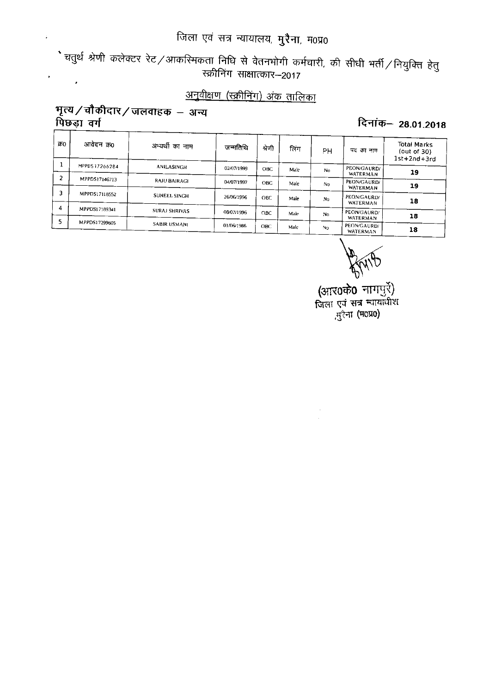ेचतुर्थ श्रेणी कलेक्टर रेट ⁄ आकस्मिकता निधि से वेतनभोगी कर्मचारी, की सीधी भर्ती ⁄ नियुक्ति हेतु<br>स्क्रीनिंग साक्षात्कार–2017  $\label{eq:2} \frac{1}{2} \left( \frac{1}{2} \right)^2 \left( \frac{1}{2} \right)^2$ 

### <u>अनुवीक्षण (स्क्रीनिंग) अंक तालिका</u>

#### भृत्य/चौकीदार/जलवाहक – अन्य पिछड़ा वर्ग

#### दिनांक- 28.01.2018

| 500 | आवेदन क्र0    | अभ्यर्थी का नाम      | जन्मतिथि   | श्रेणी     | लिंग | PН  | पद का नाम               | Total Marks<br>(out of 30)<br>$1st+2nd+3rd$ |
|-----|---------------|----------------------|------------|------------|------|-----|-------------------------|---------------------------------------------|
|     | MPPDS17266284 | ANILASINGH           | 02/07/1999 | OBC.       | Male | No. | PEON/GAURD/<br>WATERMAN | 19                                          |
|     | MPPDS17146713 | <b>RAJU BAIRAGI</b>  | 04/07/1997 | <b>OBC</b> | Male | No. | PEON/GAURD/<br>WATERMAN | 19                                          |
|     | MPPDS17118552 | SUNEEL SINGH         | 26/06/1996 | OBC.       | Male | Nn  | PEON/GAURD/<br>WATERMAN | 18                                          |
| 4   | MPPDS17189341 | <b>SURAJ SHRIVAS</b> | 08/07/1996 | OBC.       | Male | No. | PEON/GAURD/<br>WATERMAN | 18                                          |
|     | MPPDS17299605 | <b>SABIR USMANI</b>  | 01/06/1986 | ОВС        | Male | No. | PEON/GAURD/<br>WATERMAN | 18                                          |

(आर0के0 नागपुरे)<br>जिला एवं सत्र न्यायाधीश ,सुरैना (म0प्र0)